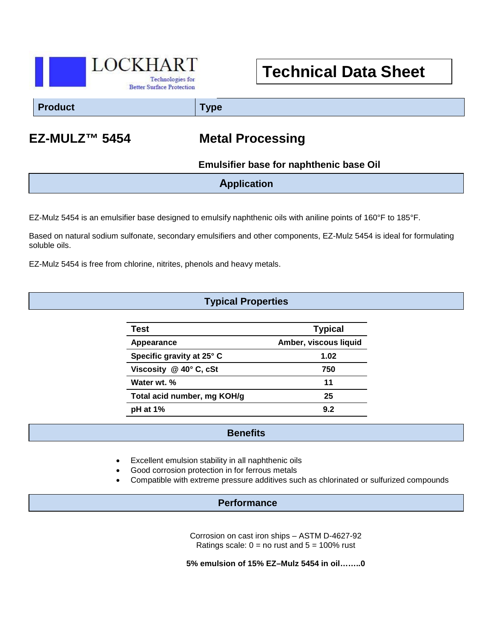

# **Technical Data Sheet**

**Product Type**

## **EZ-MULZ™ 5454 Metal Processing**

 **Emulsifier base for naphthenic base Oil**

**Application**

EZ-Mulz 5454 is an emulsifier base designed to emulsify naphthenic oils with aniline points of 160°F to 185°F.

Based on natural sodium sulfonate, secondary emulsifiers and other components, EZ-Mulz 5454 is ideal for formulating soluble oils.

EZ-Mulz 5454 is free from chlorine, nitrites, phenols and heavy metals.

### **Typical Properties**

| Test                               | <b>Typical</b>        |
|------------------------------------|-----------------------|
| Appearance                         | Amber, viscous liquid |
| Specific gravity at 25° C          | 1.02                  |
| Viscosity $@$ 40 $^{\circ}$ C, cSt | 750                   |
| Water wt. %                        | 11                    |
| Total acid number, mg KOH/g        | 25                    |
| $pH$ at 1%                         | 9.2                   |

#### **Benefits**

- Excellent emulsion stability in all naphthenic oils
- Good corrosion protection in for ferrous metals
- Compatible with extreme pressure additives such as chlorinated or sulfurized compounds

#### **Performance**

Corrosion on cast iron ships – ASTM D-4627-92 Ratings scale:  $0 =$  no rust and  $5 = 100\%$  rust

**5% emulsion of 15% EZ–Mulz 5454 in oil……..0**